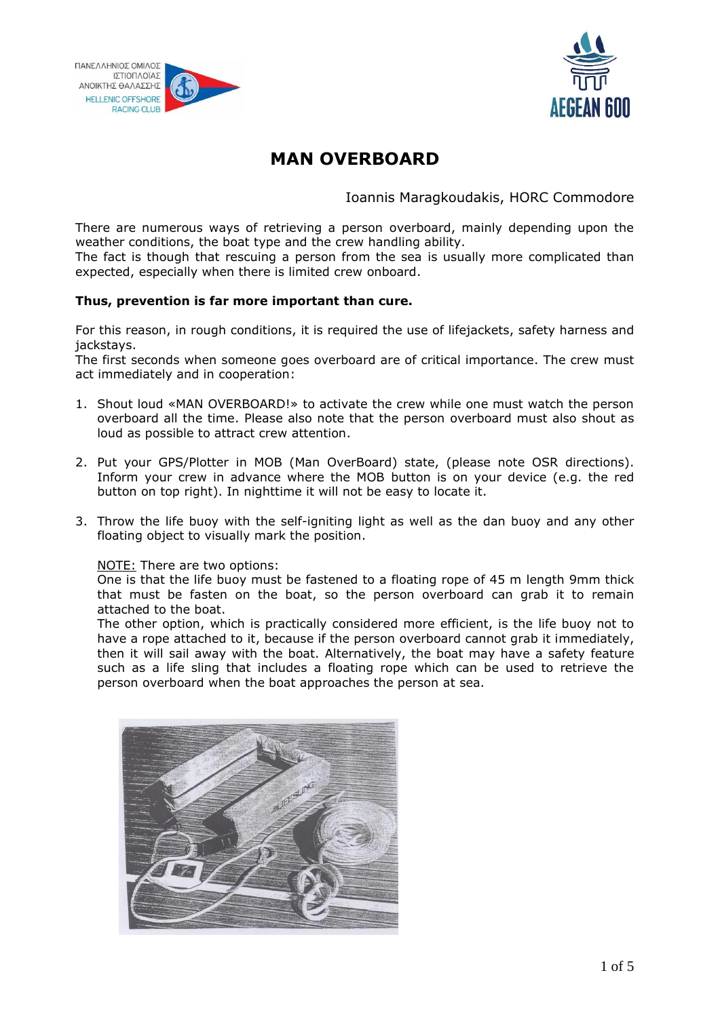



# **MAN OVERBOARD**

Ioannis Maragkoudakis, HORC Commodore

There are numerous ways of retrieving a person overboard, mainly depending upon the weather conditions, the boat type and the crew handling ability.

The fact is though that rescuing a person from the sea is usually more complicated than expected, especially when there is limited crew onboard.

#### **Thus, prevention is far more important than cure.**

For this reason, in rough conditions, it is required the use of lifejackets, safety harness and jackstays.

The first seconds when someone goes overboard are of critical importance. The crew must act immediately and in cooperation:

- 1. Shout loud «MAN OVERBOARD!» to activate the crew while one must watch the person overboard all the time. Please also note that the person overboard must also shout as loud as possible to attract crew attention.
- 2. Put your GPS/Plotter in ΜΟΒ (Man OverBoard) state, (please note OSR directions). Inform your crew in advance where the ΜΟΒ button is on your device (e.g. the red button on top right). In nighttime it will not be easy to locate it.
- 3. Throw the life buoy with the self-igniting light as well as the dan buoy and any other floating object to visually mark the position.

#### NOTE: There are two options:

One is that the life buoy must be fastened to a floating rope of 45 m length 9mm thick that must be fasten on the boat, so the person overboard can grab it to remain attached to the boat.

The other option, which is practically considered more efficient, is the life buoy not to have a rope attached to it, because if the person overboard cannot grab it immediately, then it will sail away with the boat. Alternatively, the boat may have a safety feature such as a life sling that includes a floating rope which can be used to retrieve the person overboard when the boat approaches the person at sea.

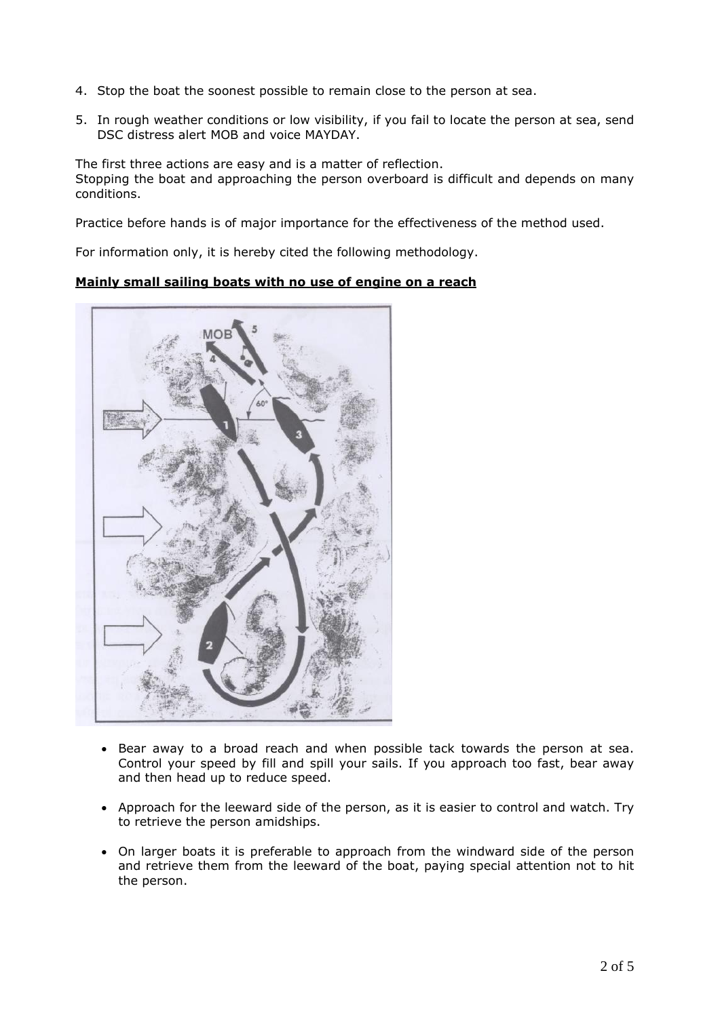- 4. Stop the boat the soonest possible to remain close to the person at sea.
- 5. In rough weather conditions or low visibility, if you fail to locate the person at sea, send DSC distress alert MOB and voice MAYDAY.

The first three actions are easy and is a matter of reflection. Stopping the boat and approaching the person overboard is difficult and depends on many conditions.

Practice before hands is of major importance for the effectiveness of the method used.

For information only, it is hereby cited the following methodology.

#### **Mainly small sailing boats with no use of engine on a reach**



- Bear away to a broad reach and when possible tack towards the person at sea. Control your speed by fill and spill your sails. If you approach too fast, bear away and then head up to reduce speed.
- Approach for the leeward side of the person, as it is easier to control and watch. Try to retrieve the person amidships.
- On larger boats it is preferable to approach from the windward side of the person and retrieve them from the leeward of the boat, paying special attention not to hit the person.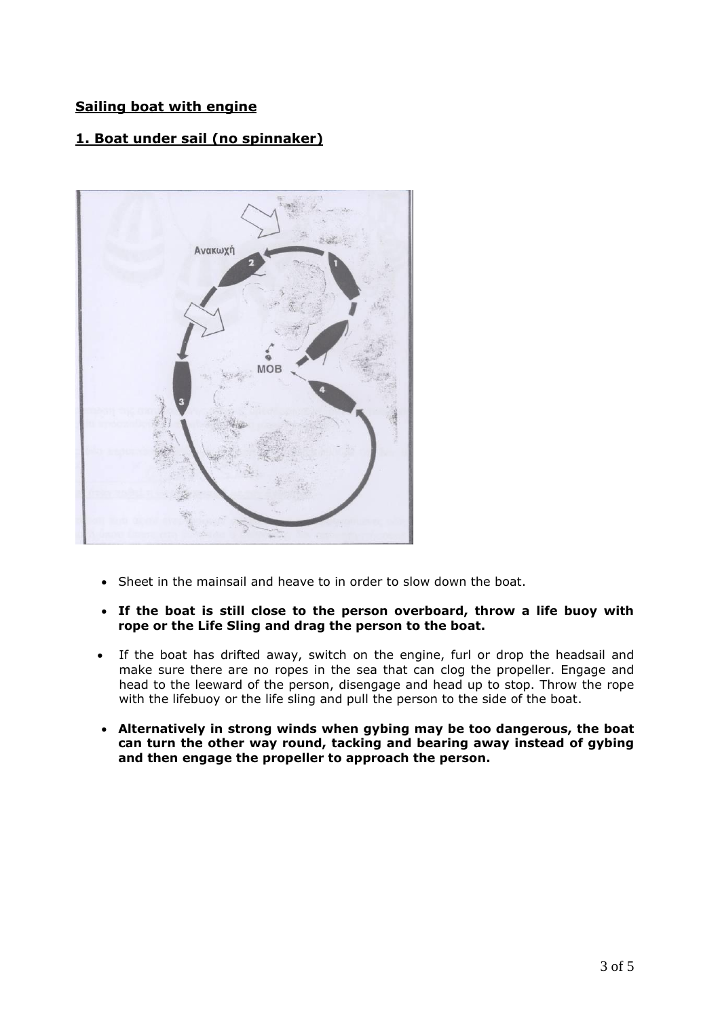## **Sailing boat with engine**

# **1. Boat under sail (no spinnaker)**



- Sheet in the mainsail and heave to in order to slow down the boat.
- **If the boat is still close to the person overboard, throw a life buoy with rope or the Life Sling and drag the person to the boat.**
- If the boat has drifted away, switch on the engine, furl or drop the headsail and make sure there are no ropes in the sea that can clog the propeller. Engage and head to the leeward of the person, disengage and head up to stop. Throw the rope with the lifebuoy or the life sling and pull the person to the side of the boat.
- **Alternatively in strong winds when gybing may be too dangerous, the boat can turn the other way round, tacking and bearing away instead of gybing and then engage the propeller to approach the person.**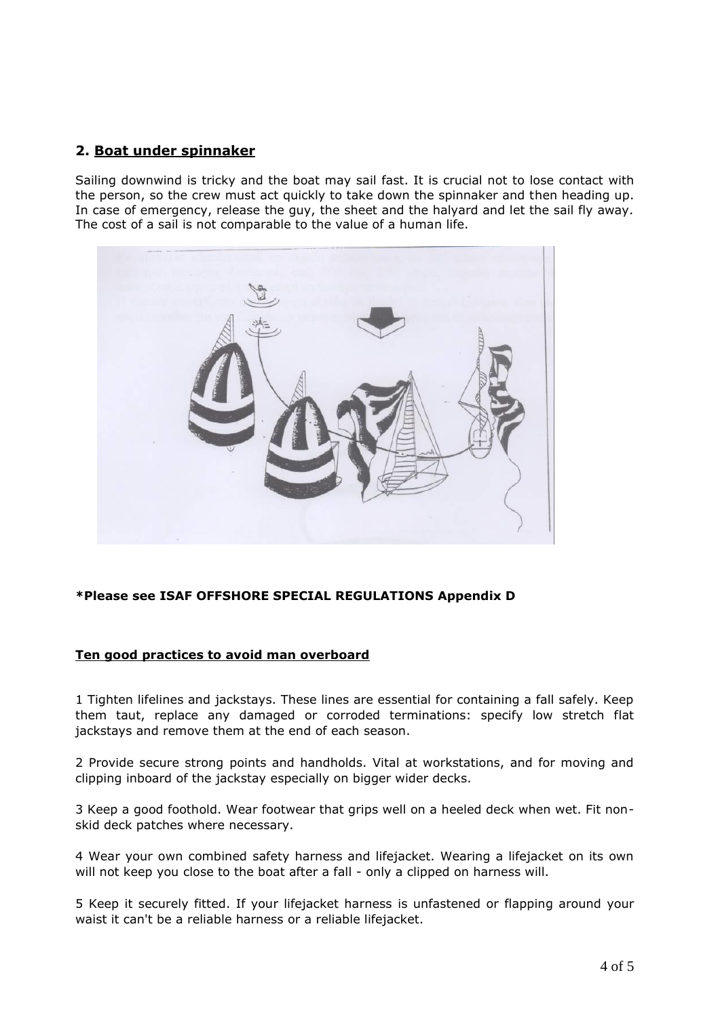## **2. Boat under spinnaker**

Sailing downwind is tricky and the boat may sail fast. It is crucial not to lose contact with the person, so the crew must act quickly to take down the spinnaker and then heading up. In case of emergency, release the guy, the sheet and the halyard and let the sail fly away. The cost of a sail is not comparable to the value of a human life.



### **\*Please see ISAF OFFSHORE SPECIAL REGULATIONS Appendix D**

#### **Ten good practices to avoid man overboard**

1 Tighten lifelines and jackstays. These lines are essential for containing a fall safely. Keep them taut, replace any damaged or corroded terminations: specify low stretch flat jackstays and remove them at the end of each season.

2 Provide secure strong points and handholds. Vital at workstations, and for moving and clipping inboard of the jackstay especially on bigger wider decks.

3 Keep a good foothold. Wear footwear that grips well on a heeled deck when wet. Fit nonskid deck patches where necessary.

4 Wear your own combined safety harness and lifejacket. Wearing a lifejacket on its own will not keep you close to the boat after a fall - only a clipped on harness will.

5 Keep it securely fitted. If your lifejacket harness is unfastened or flapping around your waist it can't be a reliable harness or a reliable lifejacket.